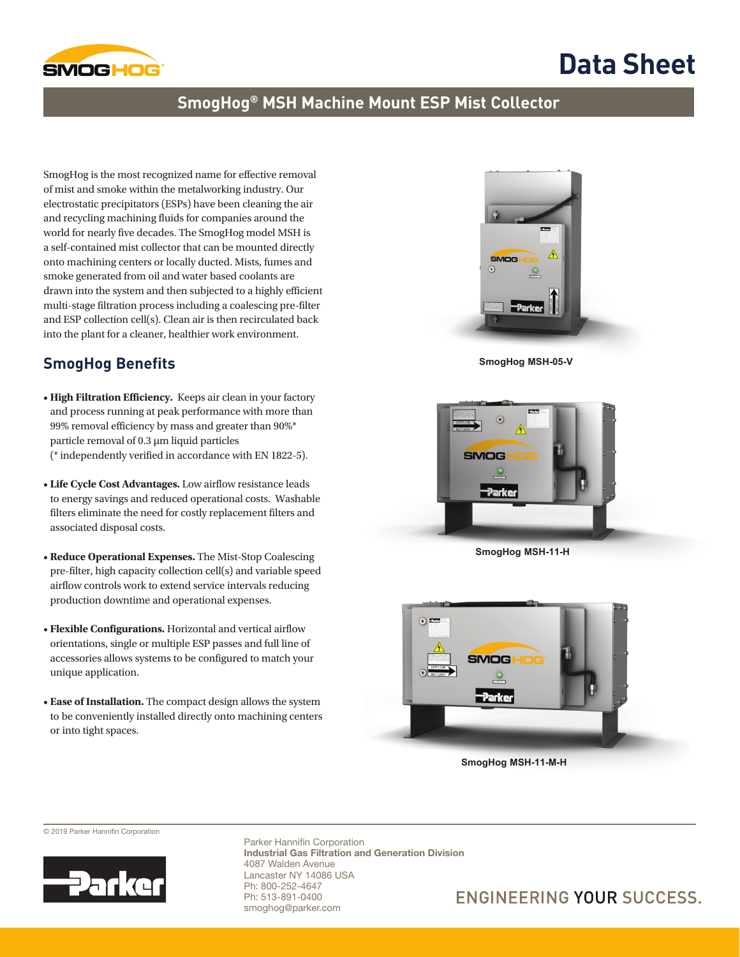

# **Data Sheet**

### **SmogHog® MSH Machine Mount ESP Mist Collector**

SmogHog is the most recognized name for effective removal of mist and smoke within the metalworking industry. Our electrostatic precipitators (ESPs) have been cleaning the air and recycling machining fluids for companies around the world for nearly five decades. The SmogHog model MSH is a self-contained mist collector that can be mounted directly onto machining centers or locally ducted. Mists, fumes and smoke generated from oil and water based coolants are drawn into the system and then subjected to a highly efficient multi-stage filtration process including a coalescing pre-filter and ESP collection cell(s). Clean air is then recirculated back into the plant for a cleaner, healthier work environment.

### **SmogHog Benefits**

- **High Filtration Efficiency.** Keeps air clean in your factory and process running at peak performance with more than 99% removal efficiency by mass and greater than 90%\* particle removal of 0.3 µm liquid particles (\* independently verified in accordance with EN 1822-5).
- **Life Cycle Cost Advantages.** Low airflow resistance leads to energy savings and reduced operational costs. Washable filters eliminate the need for costly replacement filters and associated disposal costs.
- **Reduce Operational Expenses.** The Mist-Stop Coalescing pre-filter, high capacity collection cell(s) and variable speed airflow controls work to extend service intervals reducing production downtime and operational expenses.
- **Flexible Configurations.** Horizontal and vertical airflow orientations, single or multiple ESP passes and full line of accessories allows systems to be configured to match your unique application.
- **Ease of Installation.** The compact design allows the system to be conveniently installed directly onto machining centers or into tight spaces.



 **SmogHog MSH-05-V**



**SmogHog MSH-11-H**



 **SmogHog MSH-11-M-H**

© 2019 Parker Hannifin Corporation



Parker Hannifin Corporation Industrial Gas Filtration and Generation Division 4087 Walden Avenue Lancaster NY 14086 USA Ph: 800-252-4647 Ph: 513-891-0400 smoghog@parker.com

### **ENGINEERING YOUR SUCCESS.**